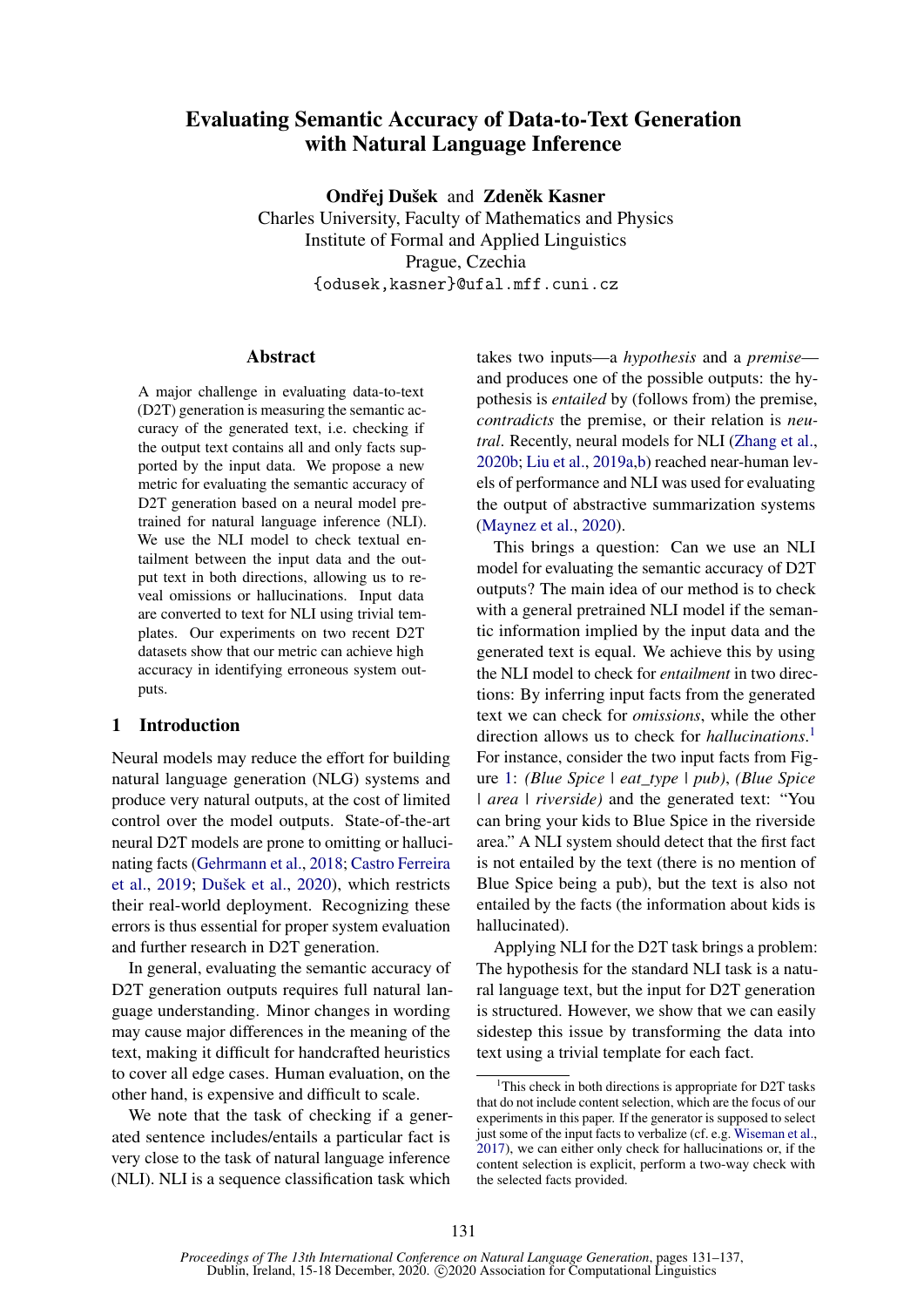# Evaluating Semantic Accuracy of Data-to-Text Generation with Natural Language Inference

Ondřei Dušek and Zdeněk Kasner

Charles University, Faculty of Mathematics and Physics Institute of Formal and Applied Linguistics Prague, Czechia {odusek,kasner}@ufal.mff.cuni.cz

## Abstract

A major challenge in evaluating data-to-text (D2T) generation is measuring the semantic accuracy of the generated text, i.e. checking if the output text contains all and only facts supported by the input data. We propose a new metric for evaluating the semantic accuracy of D2T generation based on a neural model pretrained for natural language inference (NLI). We use the NLI model to check textual entailment between the input data and the output text in both directions, allowing us to reveal omissions or hallucinations. Input data are converted to text for NLI using trivial templates. Our experiments on two recent D2T datasets show that our metric can achieve high accuracy in identifying erroneous system outputs.

## <span id="page-0-1"></span>1 Introduction

Neural models may reduce the effort for building natural language generation (NLG) systems and produce very natural outputs, at the cost of limited control over the model outputs. State-of-the-art neural D2T models are prone to omitting or hallucinating facts [\(Gehrmann et al.,](#page-5-0) [2018;](#page-5-0) [Castro Ferreira](#page-4-0) [et al.,](#page-4-0) [2019;](#page-4-0) [Dušek et al.,](#page-4-1) [2020\)](#page-4-1), which restricts their real-world deployment. Recognizing these errors is thus essential for proper system evaluation and further research in D2T generation.

In general, evaluating the semantic accuracy of D2T generation outputs requires full natural language understanding. Minor changes in wording may cause major differences in the meaning of the text, making it difficult for handcrafted heuristics to cover all edge cases. Human evaluation, on the other hand, is expensive and difficult to scale.

We note that the task of checking if a generated sentence includes/entails a particular fact is very close to the task of natural language inference (NLI). NLI is a sequence classification task which

takes two inputs—a *hypothesis* and a *premise* and produces one of the possible outputs: the hypothesis is *entailed* by (follows from) the premise, *contradicts* the premise, or their relation is *neutral*. Recently, neural models for NLI [\(Zhang et al.,](#page-6-0) [2020b;](#page-6-0) [Liu et al.,](#page-5-1) [2019a](#page-5-1)[,b\)](#page-5-2) reached near-human levels of performance and NLI was used for evaluating the output of abstractive summarization systems [\(Maynez et al.,](#page-5-3) [2020\)](#page-5-3).

This brings a question: Can we use an NLI model for evaluating the semantic accuracy of D2T outputs? The main idea of our method is to check with a general pretrained NLI model if the semantic information implied by the input data and the generated text is equal. We achieve this by using the NLI model to check for *entailment* in two directions: By inferring input facts from the generated text we can check for *omissions*, while the other direction allows us to check for *hallucinations*. [1](#page-0-0) For instance, consider the two input facts from Figure [1:](#page-2-0) *(Blue Spice | eat\_type | pub)*, *(Blue Spice | area | riverside)* and the generated text: "You can bring your kids to Blue Spice in the riverside area." A NLI system should detect that the first fact is not entailed by the text (there is no mention of Blue Spice being a pub), but the text is also not entailed by the facts (the information about kids is hallucinated).

Applying NLI for the D2T task brings a problem: The hypothesis for the standard NLI task is a natural language text, but the input for D2T generation is structured. However, we show that we can easily sidestep this issue by transforming the data into text using a trivial template for each fact.

<span id="page-0-0"></span><sup>&</sup>lt;sup>1</sup>This check in both directions is appropriate for D2T tasks that do not include content selection, which are the focus of our experiments in this paper. If the generator is supposed to select just some of the input facts to verbalize (cf. e.g. [Wiseman et al.,](#page-6-1) [2017\)](#page-6-1), we can either only check for hallucinations or, if the content selection is explicit, perform a two-way check with the selected facts provided.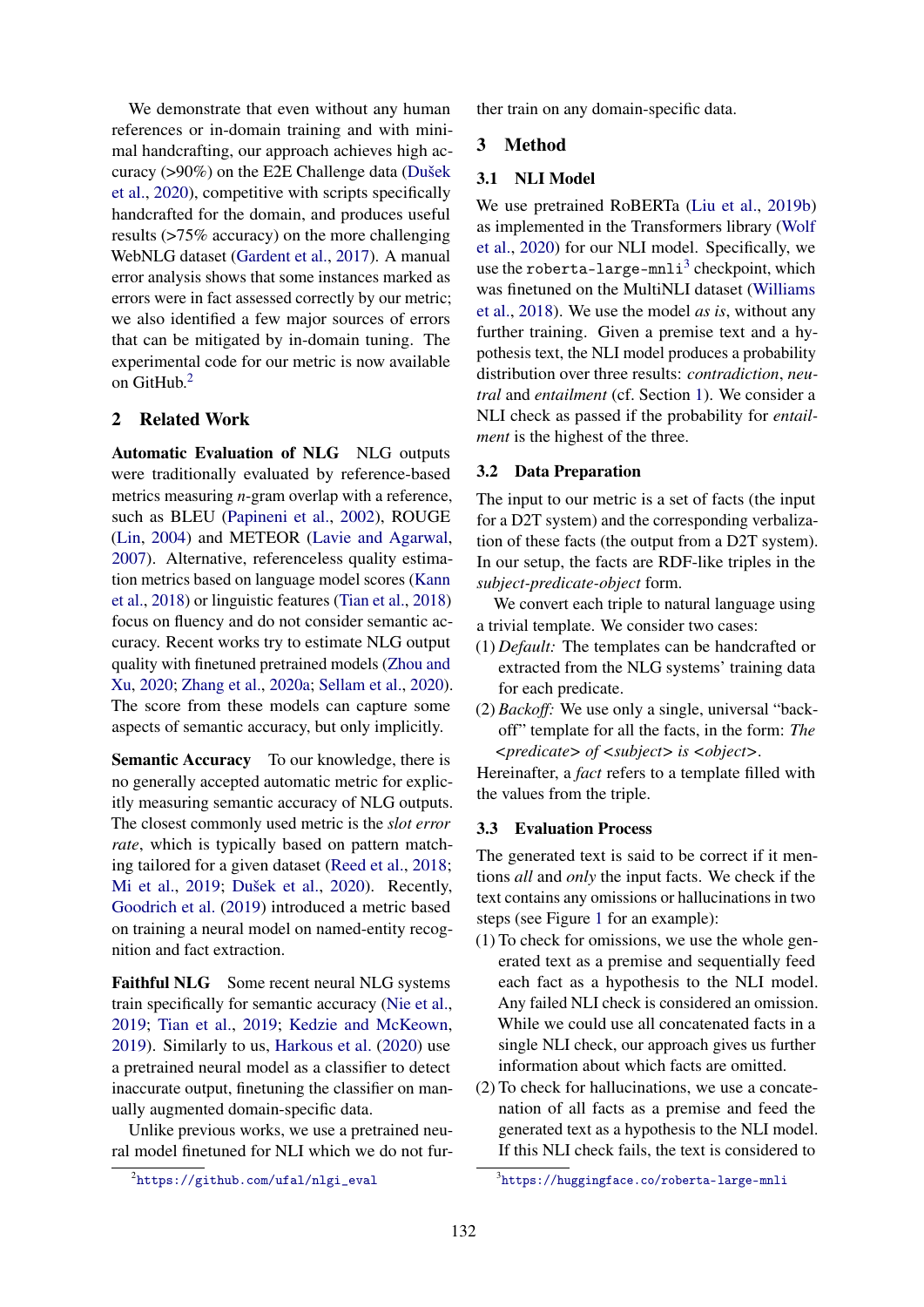We demonstrate that even without any human references or in-domain training and with minimal handcrafting, our approach achieves high accuracy (>90%) on the E2E Challenge data [\(Dušek](#page-4-1) [et al.,](#page-4-1) [2020\)](#page-4-1), competitive with scripts specifically handcrafted for the domain, and produces useful results (>75% accuracy) on the more challenging WebNLG dataset [\(Gardent et al.,](#page-4-2) [2017\)](#page-4-2). A manual error analysis shows that some instances marked as errors were in fact assessed correctly by our metric; we also identified a few major sources of errors that can be mitigated by in-domain tuning. The experimental code for our metric is now available on GitHub.<sup>[2](#page-1-0)</sup>

## 2 Related Work

Automatic Evaluation of NLG NLG outputs were traditionally evaluated by reference-based metrics measuring *n*-gram overlap with a reference, such as BLEU [\(Papineni et al.,](#page-5-4) [2002\)](#page-5-4), ROUGE [\(Lin,](#page-5-5) [2004\)](#page-5-5) and METEOR [\(Lavie and Agarwal,](#page-5-6) [2007\)](#page-5-6). Alternative, referenceless quality estimation metrics based on language model scores [\(Kann](#page-5-7) [et al.,](#page-5-7) [2018\)](#page-5-7) or linguistic features [\(Tian et al.,](#page-5-8) [2018\)](#page-5-8) focus on fluency and do not consider semantic accuracy. Recent works try to estimate NLG output quality with finetuned pretrained models [\(Zhou and](#page-6-2) [Xu,](#page-6-2) [2020;](#page-6-2) [Zhang et al.,](#page-6-3) [2020a;](#page-6-3) [Sellam et al.,](#page-5-9) [2020\)](#page-5-9). The score from these models can capture some aspects of semantic accuracy, but only implicitly.

Semantic Accuracy To our knowledge, there is no generally accepted automatic metric for explicitly measuring semantic accuracy of NLG outputs. The closest commonly used metric is the *slot error rate*, which is typically based on pattern matching tailored for a given dataset [\(Reed et al.,](#page-5-10) [2018;](#page-5-10) [Mi et al.,](#page-5-11) [2019;](#page-5-11) [Dušek et al.,](#page-4-1) [2020\)](#page-4-1). Recently, [Goodrich et al.](#page-5-12) [\(2019\)](#page-5-12) introduced a metric based on training a neural model on named-entity recognition and fact extraction.

Faithful NLG Some recent neural NLG systems train specifically for semantic accuracy [\(Nie et al.,](#page-5-13) [2019;](#page-5-13) [Tian et al.,](#page-5-14) [2019;](#page-5-14) [Kedzie and McKeown,](#page-5-15) [2019\)](#page-5-15). Similarly to us, [Harkous et al.](#page-5-16) [\(2020\)](#page-5-16) use a pretrained neural model as a classifier to detect inaccurate output, finetuning the classifier on manually augmented domain-specific data.

Unlike previous works, we use a pretrained neural model finetuned for NLI which we do not further train on any domain-specific data.

## 3 Method

#### 3.1 NLI Model

We use pretrained RoBERTa [\(Liu et al.,](#page-5-2) [2019b\)](#page-5-2) as implemented in the Transformers library [\(Wolf](#page-6-4) [et al.,](#page-6-4) [2020\)](#page-6-4) for our NLI model. Specifically, we use the roberta-large- $m$ nli<sup>[3](#page-1-1)</sup> checkpoint, which was finetuned on the MultiNLI dataset [\(Williams](#page-6-5) [et al.,](#page-6-5) [2018\)](#page-6-5). We use the model *as is*, without any further training. Given a premise text and a hypothesis text, the NLI model produces a probability distribution over three results: *contradiction*, *neutral* and *entailment* (cf. Section [1\)](#page-0-1). We consider a NLI check as passed if the probability for *entailment* is the highest of the three.

#### <span id="page-1-2"></span>3.2 Data Preparation

The input to our metric is a set of facts (the input for a D2T system) and the corresponding verbalization of these facts (the output from a D2T system). In our setup, the facts are RDF-like triples in the *subject-predicate-object* form.

We convert each triple to natural language using a trivial template. We consider two cases:

- (1) *Default:* The templates can be handcrafted or extracted from the NLG systems' training data for each predicate.
- (2) *Backoff:* We use only a single, universal "backoff" template for all the facts, in the form: *The <predicate> of <subject> is <object>*.

Hereinafter, a *fact* refers to a template filled with the values from the triple.

#### <span id="page-1-3"></span>3.3 Evaluation Process

The generated text is said to be correct if it mentions *all* and *only* the input facts. We check if the text contains any omissions or hallucinations in two steps (see Figure [1](#page-2-0) for an example):

- (1) To check for omissions, we use the whole generated text as a premise and sequentially feed each fact as a hypothesis to the NLI model. Any failed NLI check is considered an omission. While we could use all concatenated facts in a single NLI check, our approach gives us further information about which facts are omitted.
- (2) To check for hallucinations, we use a concatenation of all facts as a premise and feed the generated text as a hypothesis to the NLI model. If this NLI check fails, the text is considered to

<span id="page-1-0"></span> $^2$ [https://github.com/ufal/nlgi\\_eval](https://github.com/ufal/nlgi_eval)

<span id="page-1-1"></span><sup>3</sup> <https://huggingface.co/roberta-large-mnli>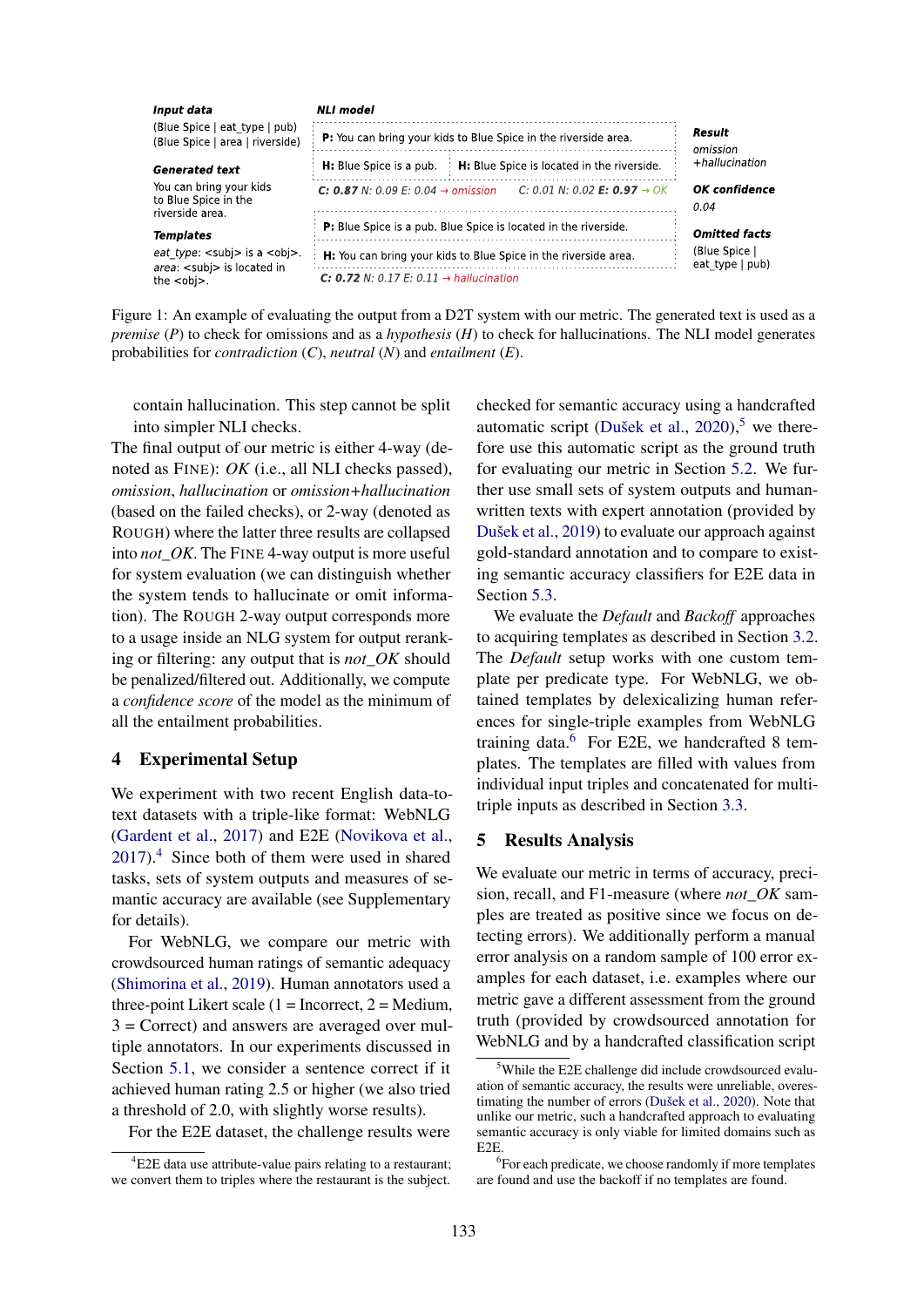<span id="page-2-0"></span>

Figure 1: An example of evaluating the output from a D2T system with our metric. The generated text is used as a *premise* (*P*) to check for omissions and as a *hypothesis* (*H*) to check for hallucinations. The NLI model generates probabilities for *contradiction* (*C*), *neutral* (*N*) and *entailment* (*E*).

contain hallucination. This step cannot be split into simpler NLI checks.

The final output of our metric is either 4-way (denoted as FINE): *OK* (i.e., all NLI checks passed), *omission*, *hallucination* or *omission+hallucination* (based on the failed checks), or 2-way (denoted as ROUGH) where the latter three results are collapsed into *not\_OK*. The FINE 4-way output is more useful for system evaluation (we can distinguish whether the system tends to hallucinate or omit information). The ROUGH 2-way output corresponds more to a usage inside an NLG system for output reranking or filtering: any output that is *not\_OK* should be penalized/filtered out. Additionally, we compute a *confidence score* of the model as the minimum of all the entailment probabilities.

## <span id="page-2-4"></span>4 Experimental Setup

We experiment with two recent English data-totext datasets with a triple-like format: WebNLG [\(Gardent et al.,](#page-4-2) [2017\)](#page-4-2) and E2E [\(Novikova et al.,](#page-5-17) [2017\)](#page-5-17).[4](#page-2-1) Since both of them were used in shared tasks, sets of system outputs and measures of semantic accuracy are available (see Supplementary for details).

For WebNLG, we compare our metric with crowdsourced human ratings of semantic adequacy [\(Shimorina et al.,](#page-5-18) [2019\)](#page-5-18). Human annotators used a three-point Likert scale  $(1 = \text{Incorrect}, 2 = \text{Median},$  $3 =$  Correct) and answers are averaged over multiple annotators. In our experiments discussed in Section [5.1,](#page-3-0) we consider a sentence correct if it achieved human rating 2.5 or higher (we also tried a threshold of 2.0, with slightly worse results).

For the E2E dataset, the challenge results were

checked for semantic accuracy using a handcrafted automatic script [\(Dušek et al.,](#page-4-1)  $2020$ ),<sup>[5](#page-2-2)</sup> we therefore use this automatic script as the ground truth for evaluating our metric in Section [5.2.](#page-3-1) We further use small sets of system outputs and humanwritten texts with expert annotation (provided by [Dušek et al.,](#page-4-3) [2019\)](#page-4-3) to evaluate our approach against gold-standard annotation and to compare to existing semantic accuracy classifiers for E2E data in Section [5.3.](#page-3-2)

We evaluate the *Default* and *Backoff* approaches to acquiring templates as described in Section [3.2.](#page-1-2) The *Default* setup works with one custom template per predicate type. For WebNLG, we obtained templates by delexicalizing human references for single-triple examples from WebNLG training data. $6$  For E2E, we handcrafted 8 templates. The templates are filled with values from individual input triples and concatenated for multitriple inputs as described in Section [3.3.](#page-1-3)

#### 5 Results Analysis

We evaluate our metric in terms of accuracy, precision, recall, and F1-measure (where *not\_OK* samples are treated as positive since we focus on detecting errors). We additionally perform a manual error analysis on a random sample of 100 error examples for each dataset, i.e. examples where our metric gave a different assessment from the ground truth (provided by crowdsourced annotation for WebNLG and by a handcrafted classification script

<span id="page-2-1"></span><sup>&</sup>lt;sup>4</sup>E2E data use attribute-value pairs relating to a restaurant; we convert them to triples where the restaurant is the subject.

<span id="page-2-2"></span><sup>&</sup>lt;sup>5</sup>While the E2E challenge did include crowdsourced evaluation of semantic accuracy, the results were unreliable, overestimating the number of errors [\(Dušek et al.,](#page-4-1) [2020\)](#page-4-1). Note that unlike our metric, such a handcrafted approach to evaluating semantic accuracy is only viable for limited domains such as E2E.

<span id="page-2-3"></span><sup>&</sup>lt;sup>6</sup>For each predicate, we choose randomly if more templates are found and use the backoff if no templates are found.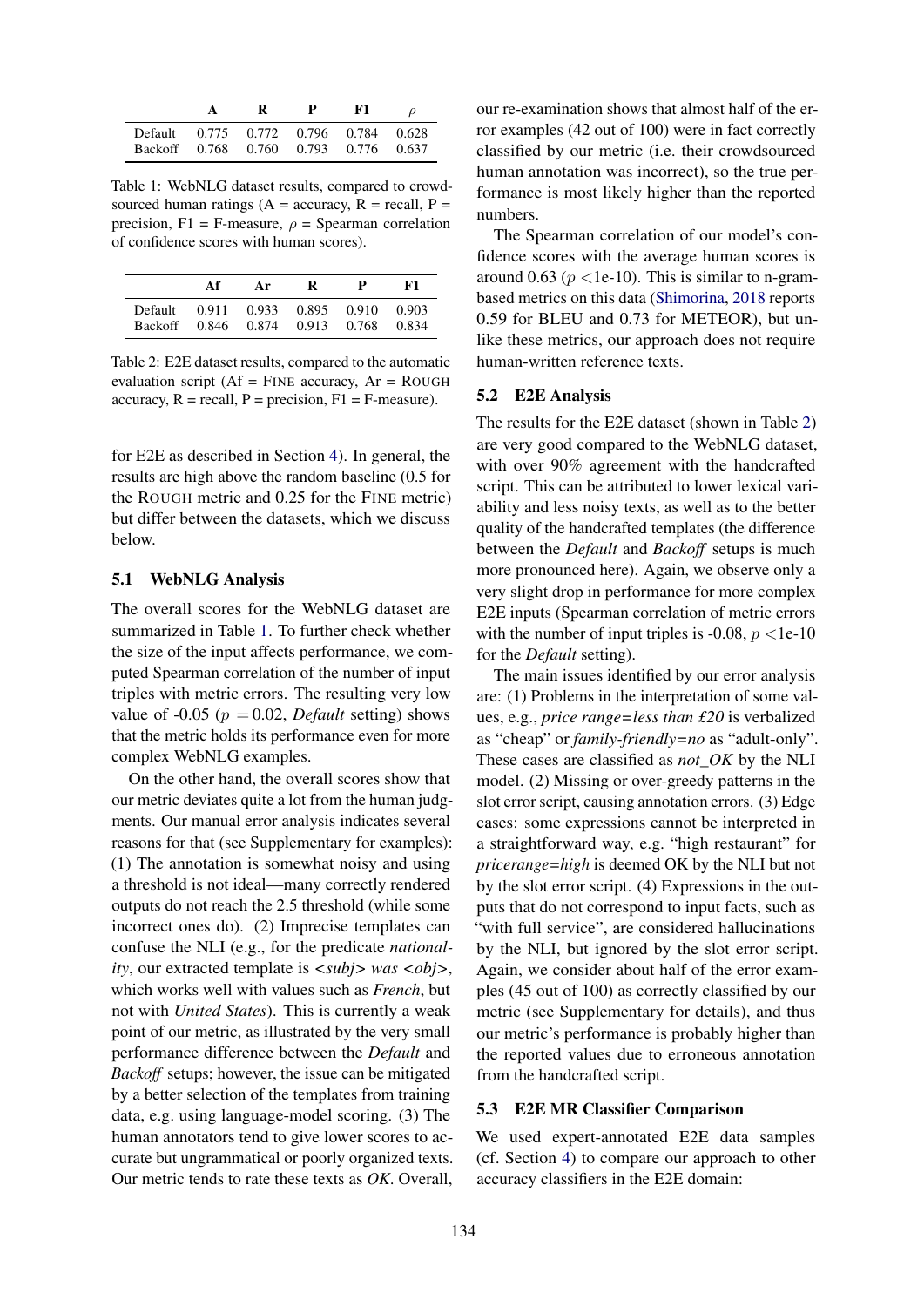<span id="page-3-3"></span>

|                                                                                | R | $\mathbf{P}$ | F1 |  |  |
|--------------------------------------------------------------------------------|---|--------------|----|--|--|
| Default 0.775 0.772 0.796 0.784 0.628<br>Backoff 0.768 0.760 0.793 0.776 0.637 |   |              |    |  |  |

Table 1: WebNLG dataset results, compared to crowdsourced human ratings ( $A =$  accuracy,  $R =$  recall,  $P =$ precision, F1 = F-measure,  $\rho$  = Spearman correlation of confidence scores with human scores).

<span id="page-3-4"></span>

|                    | Аf | Ar | R                                            | P     | KT.            |  |  |
|--------------------|----|----|----------------------------------------------|-------|----------------|--|--|
| Default<br>Backoff |    |    | 0.911 0.933 0.895 0.910<br>0.846 0.874 0.913 | 0.768 | 0.903<br>0.834 |  |  |

Table 2: E2E dataset results, compared to the automatic evaluation script ( $Af = FINE$  accuracy,  $Ar = ROUGH$ accuracy,  $R = \text{recall}, P = \text{precision}, F1 = F-\text{measure}.$ 

for E2E as described in Section [4\)](#page-2-4). In general, the results are high above the random baseline (0.5 for the ROUGH metric and 0.25 for the FINE metric) but differ between the datasets, which we discuss below.

#### <span id="page-3-0"></span>5.1 WebNLG Analysis

The overall scores for the WebNLG dataset are summarized in Table [1.](#page-3-3) To further check whether the size of the input affects performance, we computed Spearman correlation of the number of input triples with metric errors. The resulting very low value of -0.05 ( $p = 0.02$ , *Default* setting) shows that the metric holds its performance even for more complex WebNLG examples.

On the other hand, the overall scores show that our metric deviates quite a lot from the human judgments. Our manual error analysis indicates several reasons for that (see Supplementary for examples): (1) The annotation is somewhat noisy and using a threshold is not ideal—many correctly rendered outputs do not reach the 2.5 threshold (while some incorrect ones do). (2) Imprecise templates can confuse the NLI (e.g., for the predicate *nationality*, our extracted template is  $\langle \textit{subj} \rangle$  was  $\langle \textit{obj} \rangle$ , which works well with values such as *French*, but not with *United States*). This is currently a weak point of our metric, as illustrated by the very small performance difference between the *Default* and *Backoff* setups; however, the issue can be mitigated by a better selection of the templates from training data, e.g. using language-model scoring. (3) The human annotators tend to give lower scores to accurate but ungrammatical or poorly organized texts. Our metric tends to rate these texts as *OK*. Overall,

our re-examination shows that almost half of the error examples (42 out of 100) were in fact correctly classified by our metric (i.e. their crowdsourced human annotation was incorrect), so the true performance is most likely higher than the reported numbers.

The Spearman correlation of our model's confidence scores with the average human scores is around 0.63 ( $p$  <1e-10). This is similar to n-grambased metrics on this data [\(Shimorina,](#page-5-19) [2018](#page-5-19) reports 0.59 for BLEU and 0.73 for METEOR), but unlike these metrics, our approach does not require human-written reference texts.

#### <span id="page-3-1"></span>5.2 E2E Analysis

The results for the E2E dataset (shown in Table [2\)](#page-3-4) are very good compared to the WebNLG dataset, with over 90% agreement with the handcrafted script. This can be attributed to lower lexical variability and less noisy texts, as well as to the better quality of the handcrafted templates (the difference between the *Default* and *Backoff* setups is much more pronounced here). Again, we observe only a very slight drop in performance for more complex E2E inputs (Spearman correlation of metric errors with the number of input triples is -0.08,  $p$  <1e-10 for the *Default* setting).

The main issues identified by our error analysis are: (1) Problems in the interpretation of some values, e.g., *price range=less than £20* is verbalized as "cheap" or *family-friendly=no* as "adult-only". These cases are classified as *not\_OK* by the NLI model. (2) Missing or over-greedy patterns in the slot error script, causing annotation errors. (3) Edge cases: some expressions cannot be interpreted in a straightforward way, e.g. "high restaurant" for *pricerange=high* is deemed OK by the NLI but not by the slot error script. (4) Expressions in the outputs that do not correspond to input facts, such as "with full service", are considered hallucinations by the NLI, but ignored by the slot error script. Again, we consider about half of the error examples (45 out of 100) as correctly classified by our metric (see Supplementary for details), and thus our metric's performance is probably higher than the reported values due to erroneous annotation from the handcrafted script.

## <span id="page-3-2"></span>5.3 E2E MR Classifier Comparison

We used expert-annotated E2E data samples (cf. Section [4\)](#page-2-4) to compare our approach to other accuracy classifiers in the E2E domain: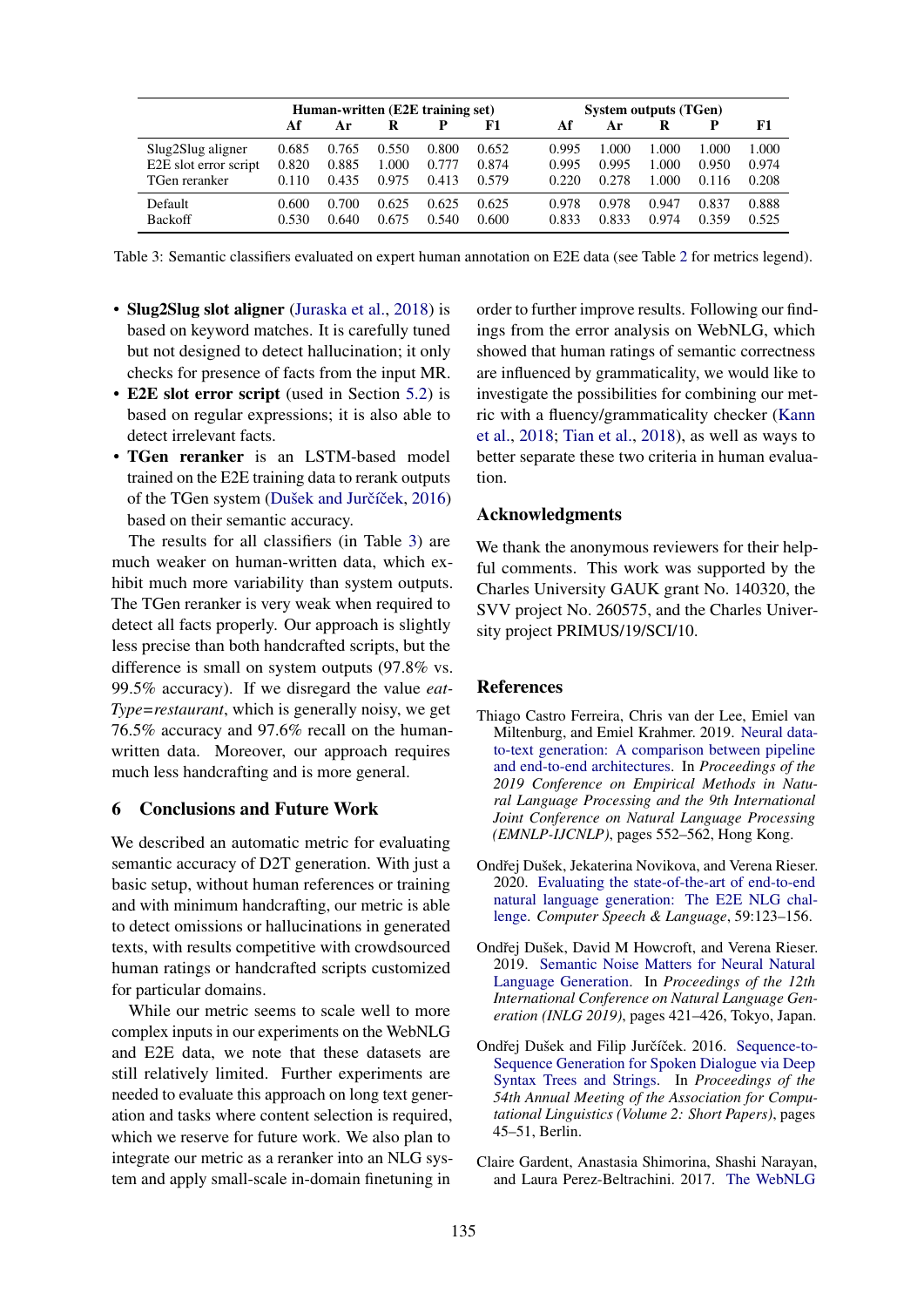<span id="page-4-5"></span>

|                       | Human-written (E2E training set) |       |       |       |       | <b>System outputs (TGen)</b> |       |       |       |       |
|-----------------------|----------------------------------|-------|-------|-------|-------|------------------------------|-------|-------|-------|-------|
|                       | Af                               | Ar    |       |       | F1    | Af                           | Ar    | R     | P     | F1    |
| Slug2Slug aligner     | 0.685                            | 0.765 | 0.550 | 0.800 | 0.652 | 0.995                        | .000  | 1.000 | 1.000 | 1.000 |
| E2E slot error script | 0.820                            | 0.885 | 1.000 | 0.777 | 0.874 | 0.995                        | 0.995 | 1.000 | 0.950 | 0.974 |
| TGen reranker         | 0.110                            | 0.435 | 0.975 | 0.413 | 0.579 | 0.220                        | 0.278 | 1.000 | 0.116 | 0.208 |
| Default               | 0.600                            | 0.700 | 0.625 | 0.625 | 0.625 | 0.978                        | 0.978 | 0.947 | 0.837 | 0.888 |
| Backoff               | 0.530                            | 0.640 | 0.675 | 0.540 | 0.600 | 0.833                        | 0.833 | 0.974 | 0.359 | 0.525 |

Table 3: Semantic classifiers evaluated on expert human annotation on E2E data (see Table [2](#page-3-4) for metrics legend).

- Slug2Slug slot aligner [\(Juraska et al.,](#page-5-20) [2018\)](#page-5-20) is based on keyword matches. It is carefully tuned but not designed to detect hallucination; it only checks for presence of facts from the input MR.
- **E2E** slot error script (used in Section [5.2\)](#page-3-1) is based on regular expressions; it is also able to detect irrelevant facts.
- TGen reranker is an LSTM-based model trained on the E2E training data to rerank outputs of the TGen system (Dušek and Jurčíček, [2016\)](#page-4-4) based on their semantic accuracy.

The results for all classifiers (in Table [3\)](#page-4-5) are much weaker on human-written data, which exhibit much more variability than system outputs. The TGen reranker is very weak when required to detect all facts properly. Our approach is slightly less precise than both handcrafted scripts, but the difference is small on system outputs (97.8% vs. 99.5% accuracy). If we disregard the value *eat-Type=restaurant*, which is generally noisy, we get 76.5% accuracy and 97.6% recall on the humanwritten data. Moreover, our approach requires much less handcrafting and is more general.

#### 6 Conclusions and Future Work

We described an automatic metric for evaluating semantic accuracy of D2T generation. With just a basic setup, without human references or training and with minimum handcrafting, our metric is able to detect omissions or hallucinations in generated texts, with results competitive with crowdsourced human ratings or handcrafted scripts customized for particular domains.

While our metric seems to scale well to more complex inputs in our experiments on the WebNLG and E2E data, we note that these datasets are still relatively limited. Further experiments are needed to evaluate this approach on long text generation and tasks where content selection is required, which we reserve for future work. We also plan to integrate our metric as a reranker into an NLG system and apply small-scale in-domain finetuning in

order to further improve results. Following our findings from the error analysis on WebNLG, which showed that human ratings of semantic correctness are influenced by grammaticality, we would like to investigate the possibilities for combining our metric with a fluency/grammaticality checker [\(Kann](#page-5-7) [et al.,](#page-5-7) [2018;](#page-5-7) [Tian et al.,](#page-5-8) [2018\)](#page-5-8), as well as ways to better separate these two criteria in human evaluation.

## Acknowledgments

We thank the anonymous reviewers for their helpful comments. This work was supported by the Charles University GAUK grant No. 140320, the SVV project No. 260575, and the Charles University project PRIMUS/19/SCI/10.

#### References

- <span id="page-4-0"></span>Thiago Castro Ferreira, Chris van der Lee, Emiel van Miltenburg, and Emiel Krahmer. 2019. [Neural data](https://doi.org/10.18653/v1/D19-1052)[to-text generation: A comparison between pipeline](https://doi.org/10.18653/v1/D19-1052) [and end-to-end architectures.](https://doi.org/10.18653/v1/D19-1052) In *Proceedings of the 2019 Conference on Empirical Methods in Natural Language Processing and the 9th International Joint Conference on Natural Language Processing (EMNLP-IJCNLP)*, pages 552–562, Hong Kong.
- <span id="page-4-1"></span>Ondřej Dušek, Jekaterina Novikova, and Verena Rieser. 2020. [Evaluating the state-of-the-art of end-to-end](https://doi.org/10.1016/j.csl.2019.06.009) [natural language generation: The E2E NLG chal](https://doi.org/10.1016/j.csl.2019.06.009)[lenge.](https://doi.org/10.1016/j.csl.2019.06.009) *Computer Speech & Language*, 59:123–156.
- <span id="page-4-3"></span>Ondřej Dušek, David M Howcroft, and Verena Rieser. 2019. [Semantic Noise Matters for Neural Natural](https://www.aclweb.org/anthology/W19-8652/) [Language Generation.](https://www.aclweb.org/anthology/W19-8652/) In *Proceedings of the 12th International Conference on Natural Language Generation (INLG 2019)*, pages 421–426, Tokyo, Japan.
- <span id="page-4-4"></span>Ondřej Dušek and Filip Jurčíček. 2016. [Sequence-to-](https://aclweb.org/anthology/P16-2008)[Sequence Generation for Spoken Dialogue via Deep](https://aclweb.org/anthology/P16-2008) [Syntax Trees and Strings.](https://aclweb.org/anthology/P16-2008) In *Proceedings of the 54th Annual Meeting of the Association for Computational Linguistics (Volume 2: Short Papers)*, pages 45–51, Berlin.
- <span id="page-4-2"></span>Claire Gardent, Anastasia Shimorina, Shashi Narayan, and Laura Perez-Beltrachini. 2017. [The WebNLG](http://www.aclweb.org/anthology/W17-3518)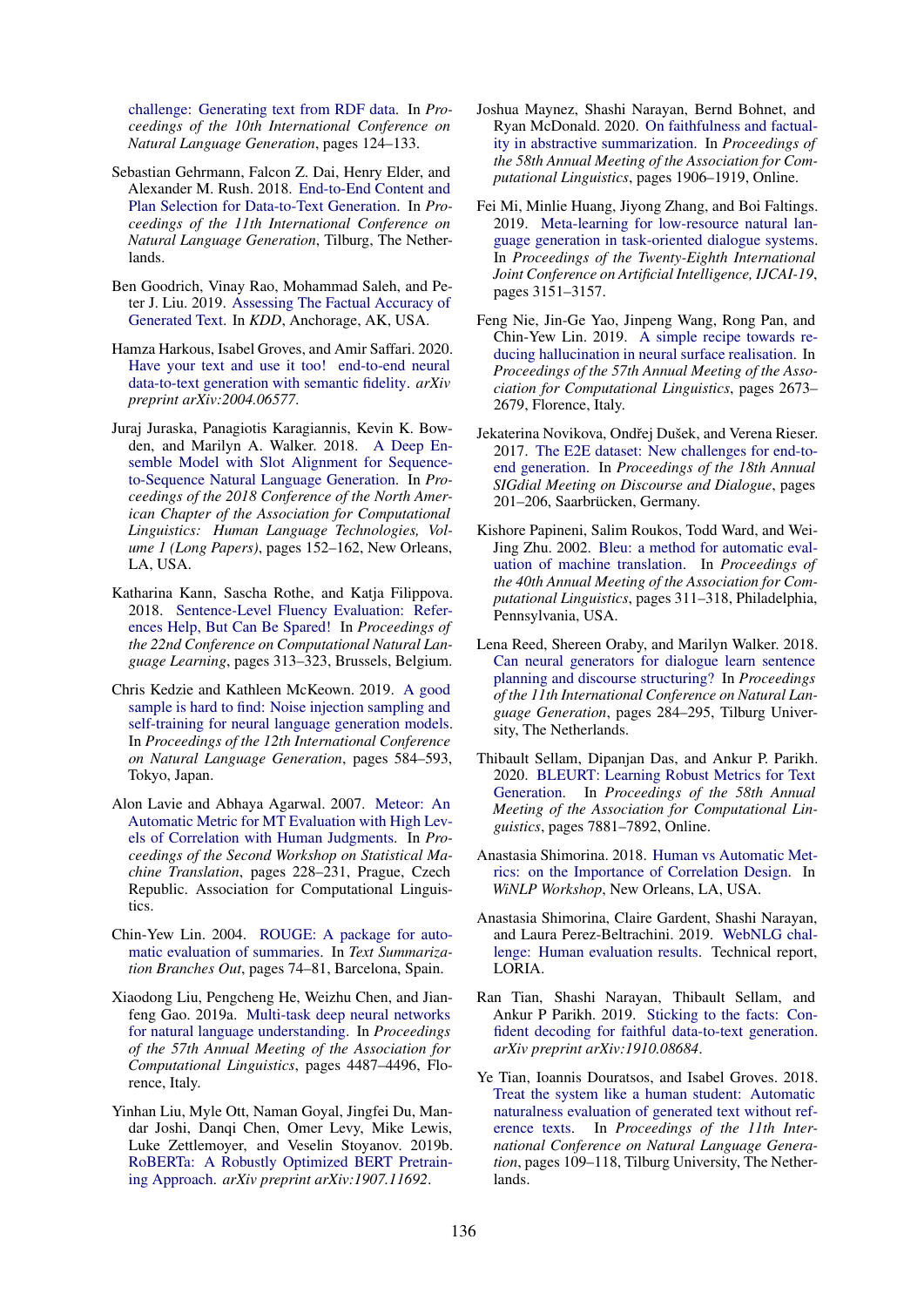[challenge: Generating text from RDF data.](http://www.aclweb.org/anthology/W17-3518) In *Proceedings of the 10th International Conference on Natural Language Generation*, pages 124–133.

- <span id="page-5-0"></span>Sebastian Gehrmann, Falcon Z. Dai, Henry Elder, and Alexander M. Rush. 2018. [End-to-End Content and](https://www.aclweb.org/anthology/W18-6505) [Plan Selection for Data-to-Text Generation.](https://www.aclweb.org/anthology/W18-6505) In *Proceedings of the 11th International Conference on Natural Language Generation*, Tilburg, The Netherlands.
- <span id="page-5-12"></span>Ben Goodrich, Vinay Rao, Mohammad Saleh, and Peter J. Liu. 2019. [Assessing The Factual Accuracy of](https://doi.org/10.1145/3292500.3330955) [Generated Text.](https://doi.org/10.1145/3292500.3330955) In *KDD*, Anchorage, AK, USA.
- <span id="page-5-16"></span>Hamza Harkous, Isabel Groves, and Amir Saffari. 2020. [Have your text and use it too! end-to-end neural](http://arxiv.org/abs/2004.06577) [data-to-text generation with semantic fidelity.](http://arxiv.org/abs/2004.06577) *arXiv preprint arXiv:2004.06577*.
- <span id="page-5-20"></span>Juraj Juraska, Panagiotis Karagiannis, Kevin K. Bowden, and Marilyn A. Walker. 2018. [A Deep En](https://www.aclweb.org/anthology/N18-1014/)[semble Model with Slot Alignment for Sequence](https://www.aclweb.org/anthology/N18-1014/)[to-Sequence Natural Language Generation.](https://www.aclweb.org/anthology/N18-1014/) In *Proceedings of the 2018 Conference of the North American Chapter of the Association for Computational Linguistics: Human Language Technologies, Volume 1 (Long Papers)*, pages 152–162, New Orleans, LA, USA.
- <span id="page-5-7"></span>Katharina Kann, Sascha Rothe, and Katja Filippova. 2018. [Sentence-Level Fluency Evaluation: Refer](http://aclweb.org/anthology/K18-1031)[ences Help, But Can Be Spared!](http://aclweb.org/anthology/K18-1031) In *Proceedings of the 22nd Conference on Computational Natural Language Learning*, pages 313–323, Brussels, Belgium.
- <span id="page-5-15"></span>Chris Kedzie and Kathleen McKeown. 2019. [A good](https://doi.org/10.18653/v1/W19-8672) [sample is hard to find: Noise injection sampling and](https://doi.org/10.18653/v1/W19-8672) [self-training for neural language generation models.](https://doi.org/10.18653/v1/W19-8672) In *Proceedings of the 12th International Conference on Natural Language Generation*, pages 584–593, Tokyo, Japan.
- <span id="page-5-6"></span>Alon Lavie and Abhaya Agarwal. 2007. [Meteor: An](https://www.aclweb.org/anthology/W07-0734) [Automatic Metric for MT Evaluation with High Lev](https://www.aclweb.org/anthology/W07-0734)[els of Correlation with Human Judgments.](https://www.aclweb.org/anthology/W07-0734) In *Proceedings of the Second Workshop on Statistical Machine Translation*, pages 228–231, Prague, Czech Republic. Association for Computational Linguistics.
- <span id="page-5-5"></span>Chin-Yew Lin. 2004. [ROUGE: A package for auto](https://www.aclweb.org/anthology/W04-1013)[matic evaluation of summaries.](https://www.aclweb.org/anthology/W04-1013) In *Text Summarization Branches Out*, pages 74–81, Barcelona, Spain.
- <span id="page-5-1"></span>Xiaodong Liu, Pengcheng He, Weizhu Chen, and Jianfeng Gao. 2019a. [Multi-task deep neural networks](https://doi.org/10.18653/v1/P19-1441) [for natural language understanding.](https://doi.org/10.18653/v1/P19-1441) In *Proceedings of the 57th Annual Meeting of the Association for Computational Linguistics*, pages 4487–4496, Florence, Italy.
- <span id="page-5-2"></span>Yinhan Liu, Myle Ott, Naman Goyal, Jingfei Du, Mandar Joshi, Danqi Chen, Omer Levy, Mike Lewis, Luke Zettlemoyer, and Veselin Stoyanov. 2019b. [RoBERTa: A Robustly Optimized BERT Pretrain](http://arxiv.org/abs/1907.11692)[ing Approach.](http://arxiv.org/abs/1907.11692) *arXiv preprint arXiv:1907.11692*.
- <span id="page-5-3"></span>Joshua Maynez, Shashi Narayan, Bernd Bohnet, and Ryan McDonald. 2020. [On faithfulness and factual](https://doi.org/10.18653/v1/2020.acl-main.173)[ity in abstractive summarization.](https://doi.org/10.18653/v1/2020.acl-main.173) In *Proceedings of the 58th Annual Meeting of the Association for Computational Linguistics*, pages 1906–1919, Online.
- <span id="page-5-11"></span>Fei Mi, Minlie Huang, Jiyong Zhang, and Boi Faltings. 2019. [Meta-learning for low-resource natural lan](https://doi.org/10.24963/ijcai.2019/437)[guage generation in task-oriented dialogue systems.](https://doi.org/10.24963/ijcai.2019/437) In *Proceedings of the Twenty-Eighth International Joint Conference on Artificial Intelligence, IJCAI-19*, pages 3151–3157.
- <span id="page-5-13"></span>Feng Nie, Jin-Ge Yao, Jinpeng Wang, Rong Pan, and Chin-Yew Lin. 2019. [A simple recipe towards re](https://doi.org/10.18653/v1/P19-1256)[ducing hallucination in neural surface realisation.](https://doi.org/10.18653/v1/P19-1256) In *Proceedings of the 57th Annual Meeting of the Association for Computational Linguistics*, pages 2673– 2679, Florence, Italy.
- <span id="page-5-17"></span>Jekaterina Novikova, Ondřej Dušek, and Verena Rieser. 2017. [The E2E dataset: New challenges for end-to](https://doi.org/10.18653/v1/W17-5525)[end generation.](https://doi.org/10.18653/v1/W17-5525) In *Proceedings of the 18th Annual SIGdial Meeting on Discourse and Dialogue*, pages 201–206, Saarbrücken, Germany.
- <span id="page-5-4"></span>Kishore Papineni, Salim Roukos, Todd Ward, and Wei-Jing Zhu. 2002. [Bleu: a method for automatic eval](https://doi.org/10.3115/1073083.1073135)[uation of machine translation.](https://doi.org/10.3115/1073083.1073135) In *Proceedings of the 40th Annual Meeting of the Association for Computational Linguistics*, pages 311–318, Philadelphia, Pennsylvania, USA.
- <span id="page-5-10"></span>Lena Reed, Shereen Oraby, and Marilyn Walker. 2018. [Can neural generators for dialogue learn sentence](https://doi.org/10.18653/v1/W18-6535) [planning and discourse structuring?](https://doi.org/10.18653/v1/W18-6535) In *Proceedings of the 11th International Conference on Natural Language Generation*, pages 284–295, Tilburg University, The Netherlands.
- <span id="page-5-9"></span>Thibault Sellam, Dipanjan Das, and Ankur P. Parikh. 2020. [BLEURT: Learning Robust Metrics for Text](https://www.aclweb.org/anthology/2020.acl-main.704) [Generation.](https://www.aclweb.org/anthology/2020.acl-main.704) In *Proceedings of the 58th Annual Meeting of the Association for Computational Linguistics*, pages 7881–7892, Online.
- <span id="page-5-19"></span>Anastasia Shimorina. 2018. [Human vs Automatic Met](http://arxiv.org/abs/1805.11474)[rics: on the Importance of Correlation Design.](http://arxiv.org/abs/1805.11474) In *WiNLP Workshop*, New Orleans, LA, USA.
- <span id="page-5-18"></span>Anastasia Shimorina, Claire Gardent, Shashi Narayan, and Laura Perez-Beltrachini. 2019. [WebNLG chal](https://webnlg-challenge.loria.fr/files/human-eval-outline-v2.pdf)[lenge: Human evaluation results.](https://webnlg-challenge.loria.fr/files/human-eval-outline-v2.pdf) Technical report, LORIA.
- <span id="page-5-14"></span>Ran Tian, Shashi Narayan, Thibault Sellam, and Ankur P Parikh. 2019. [Sticking to the facts: Con](https://arxiv.org/abs/1910.08684)[fident decoding for faithful data-to-text generation.](https://arxiv.org/abs/1910.08684) *arXiv preprint arXiv:1910.08684*.
- <span id="page-5-8"></span>Ye Tian, Ioannis Douratsos, and Isabel Groves. 2018. [Treat the system like a human student: Automatic](http://aclweb.org/anthology/W18-6512) [naturalness evaluation of generated text without ref](http://aclweb.org/anthology/W18-6512)[erence texts.](http://aclweb.org/anthology/W18-6512) In *Proceedings of the 11th International Conference on Natural Language Generation*, pages 109–118, Tilburg University, The Netherlands.